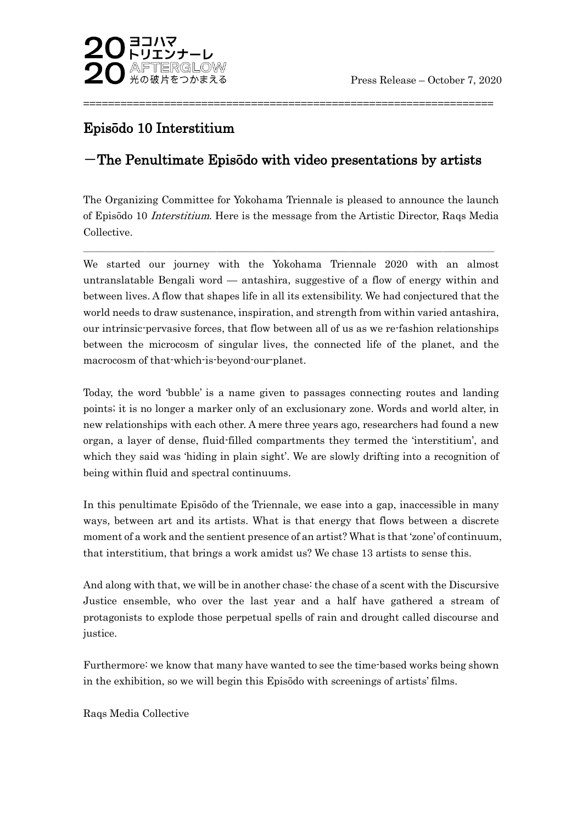

# Episōdo 10 Interstitium

## $-$ The Penultimate Episōdo with video presentations by artists

==================================================================

The Organizing Committee for Yokohama Triennale is pleased to announce the launch of Episōdo 10 Interstitium. Here is the message from the Artistic Director, Raqs Media Collective.

 $\overline{\phantom{a}}$  , and the contribution of the contribution of the contribution of the contribution of the contribution of the contribution of the contribution of the contribution of the contribution of the contribution of the

We started our journey with the Yokohama Triennale 2020 with an almost untranslatable Bengali word — antashira, suggestive of a flow of energy within and between lives. A flow that shapes life in all its extensibility. We had conjectured that the world needs to draw sustenance, inspiration, and strength from within varied antashira, our intrinsic-pervasive forces, that flow between all of us as we re-fashion relationships between the microcosm of singular lives, the connected life of the planet, and the macrocosm of that-which-is-beyond-our-planet.

Today, the word 'bubble' is a name given to passages connecting routes and landing points; it is no longer a marker only of an exclusionary zone. Words and world alter, in new relationships with each other. A mere three years ago, researchers had found a new organ, a layer of dense, fluid-filled compartments they termed the 'interstitium', and which they said was 'hiding in plain sight'. We are slowly drifting into a recognition of being within fluid and spectral continuums.

In this penultimate Episōdo of the Triennale, we ease into a gap, inaccessible in many ways, between art and its artists. What is that energy that flows between a discrete moment of a work and the sentient presence of an artist? What is that 'zone' of continuum, that interstitium, that brings a work amidst us? We chase 13 artists to sense this.

And along with that, we will be in another chase: the chase of a scent with the Discursive Justice ensemble, who over the last year and a half have gathered a stream of protagonists to explode those perpetual spells of rain and drought called discourse and justice.

Furthermore: we know that many have wanted to see the time-based works being shown in the exhibition, so we will begin this Episōdo with screenings of artists' films.

Raqs Media Collective